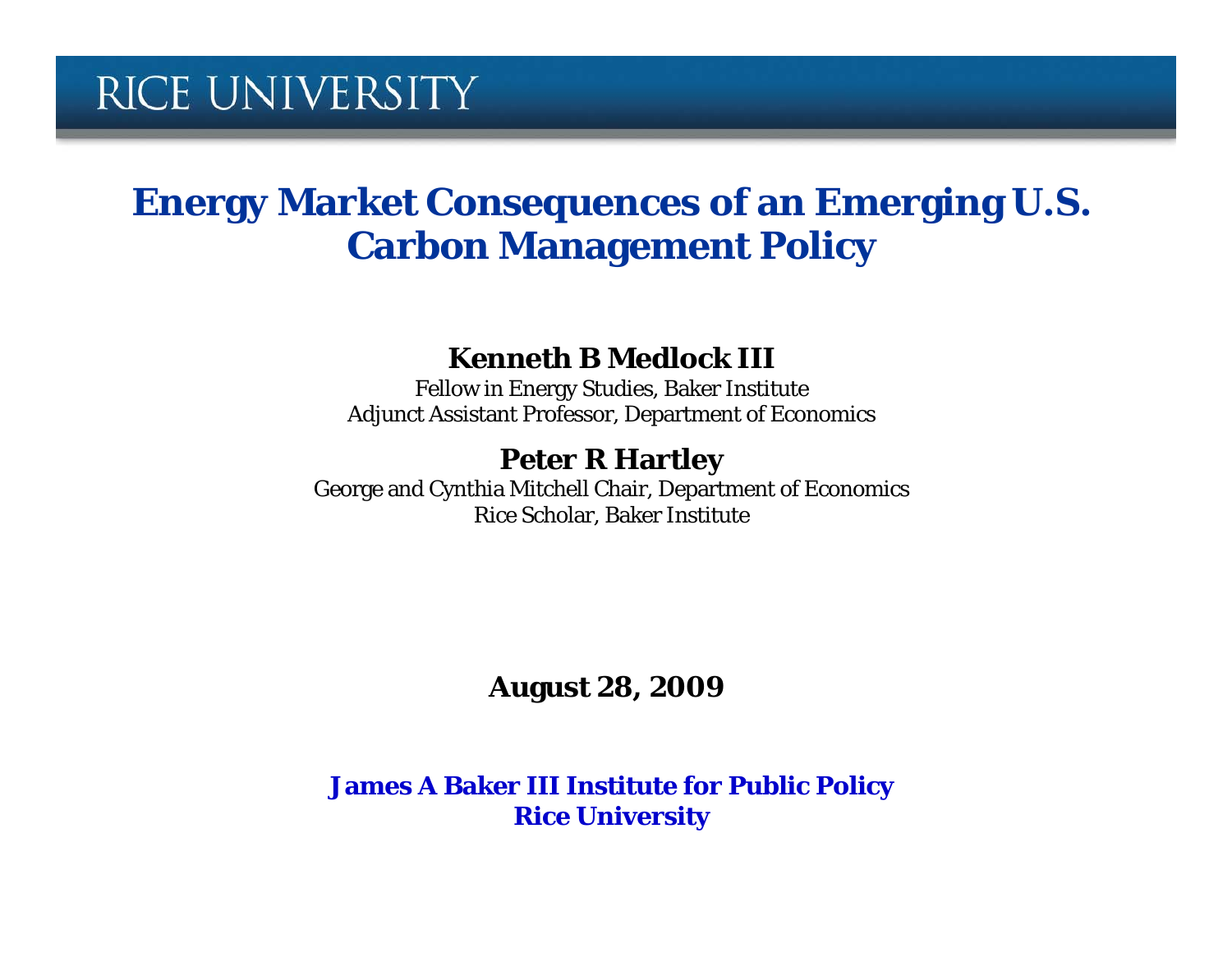#### **Energy Market Consequences of an Emerging U.S. Carbon Management Policy**

#### **Kenneth B Medlock III**

Fellow in Energy Studies, Baker Institute Adjunct Assistant Professor, Department of Economics

#### **Peter R Hartley**

George and Cynthia Mitchell Chair, Department of Economics Rice Scholar, Baker Institute

**August 28, 2009**

**James A Baker III Institute for Public Policy Rice University**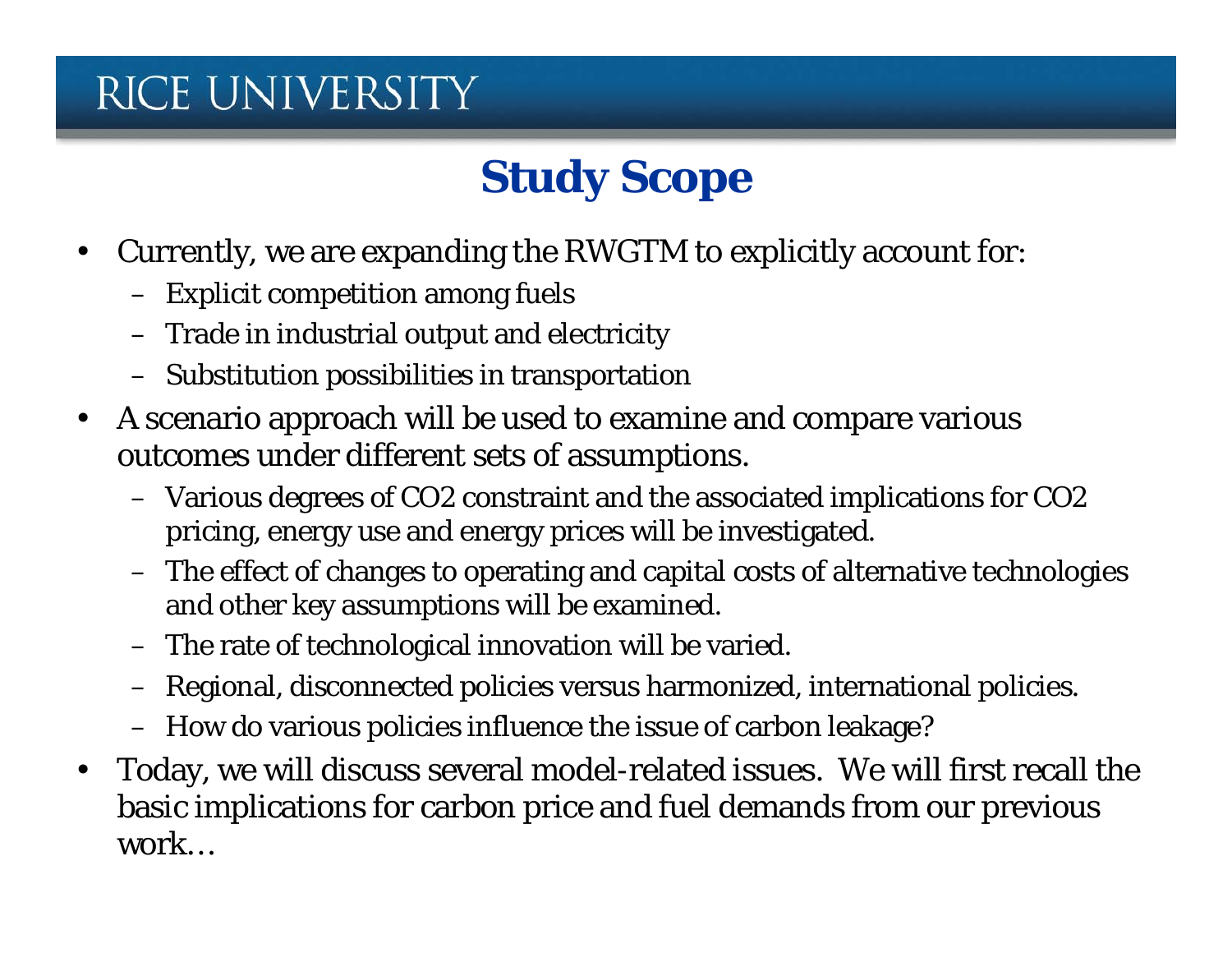# **Study Scope**

- Currently, we are expanding the RWGTM to explicitly account for:
	- Explicit competition among fuels
	- Trade in industrial output and electricity
	- Substitution possibilities in transportation
- A scenario approach will be used to examine and compare various outcomes under different sets of assumptions.
	- Various degrees of CO2 constraint and the associated implications for CO2 pricing, energy use and energy prices will be investigated.
	- The effect of changes to operating and capital costs of alternative technologies and other key assumptions will be examined.
	- The rate of technological innovation will be varied.
	- Regional, disconnected policies versus harmonized, international policies.
	- How do various policies influence the issue of carbon leakage?
- Today, we will discuss several model-related issues. We will first recall the basic implications for carbon price and fuel demands from our previous work…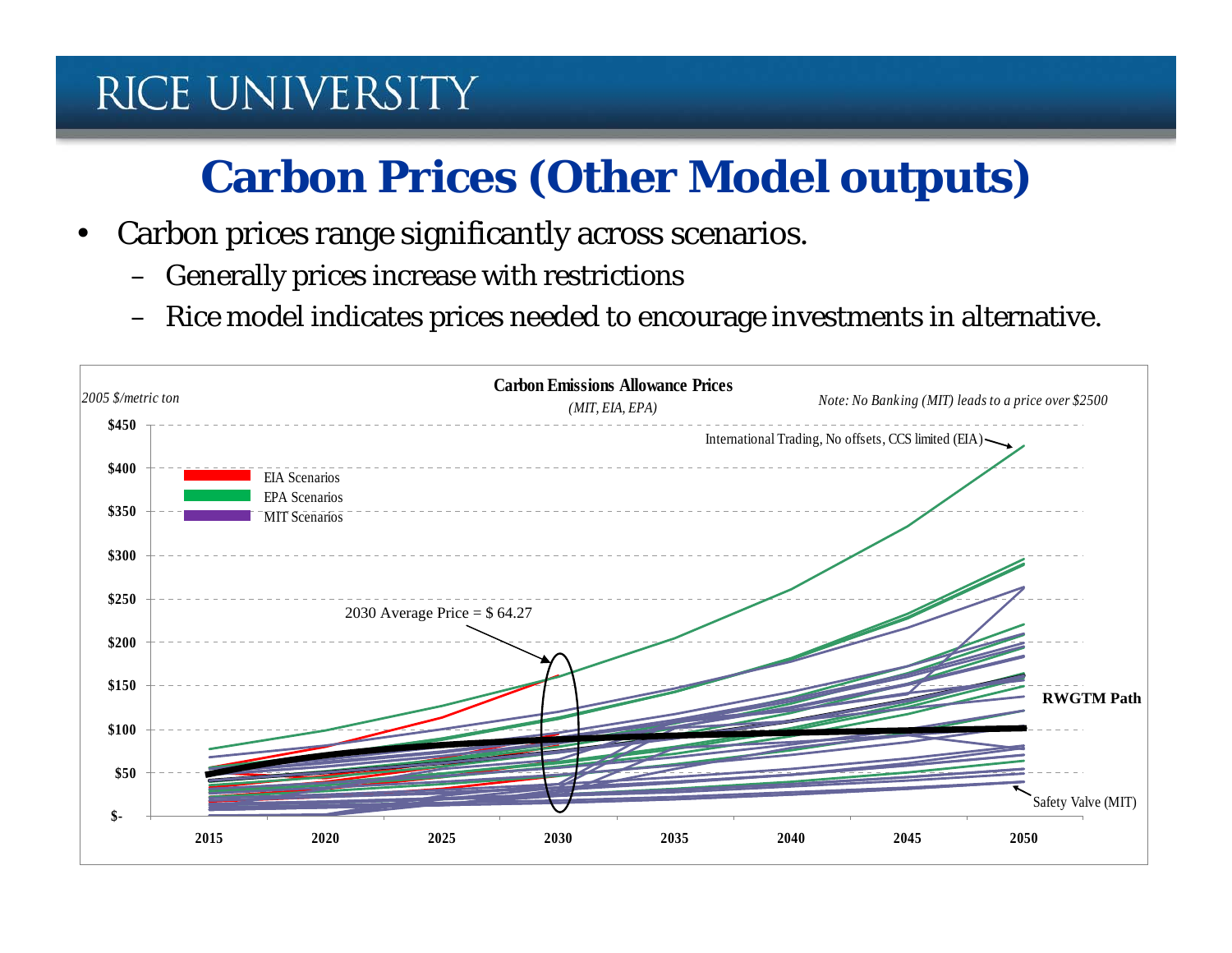# **Carbon Prices (Other Model outputs)**

- Carbon prices range significantly across scenarios.
	- Generally prices increase with restrictions
	- Rice model indicates prices needed to encourage investments in alternative.

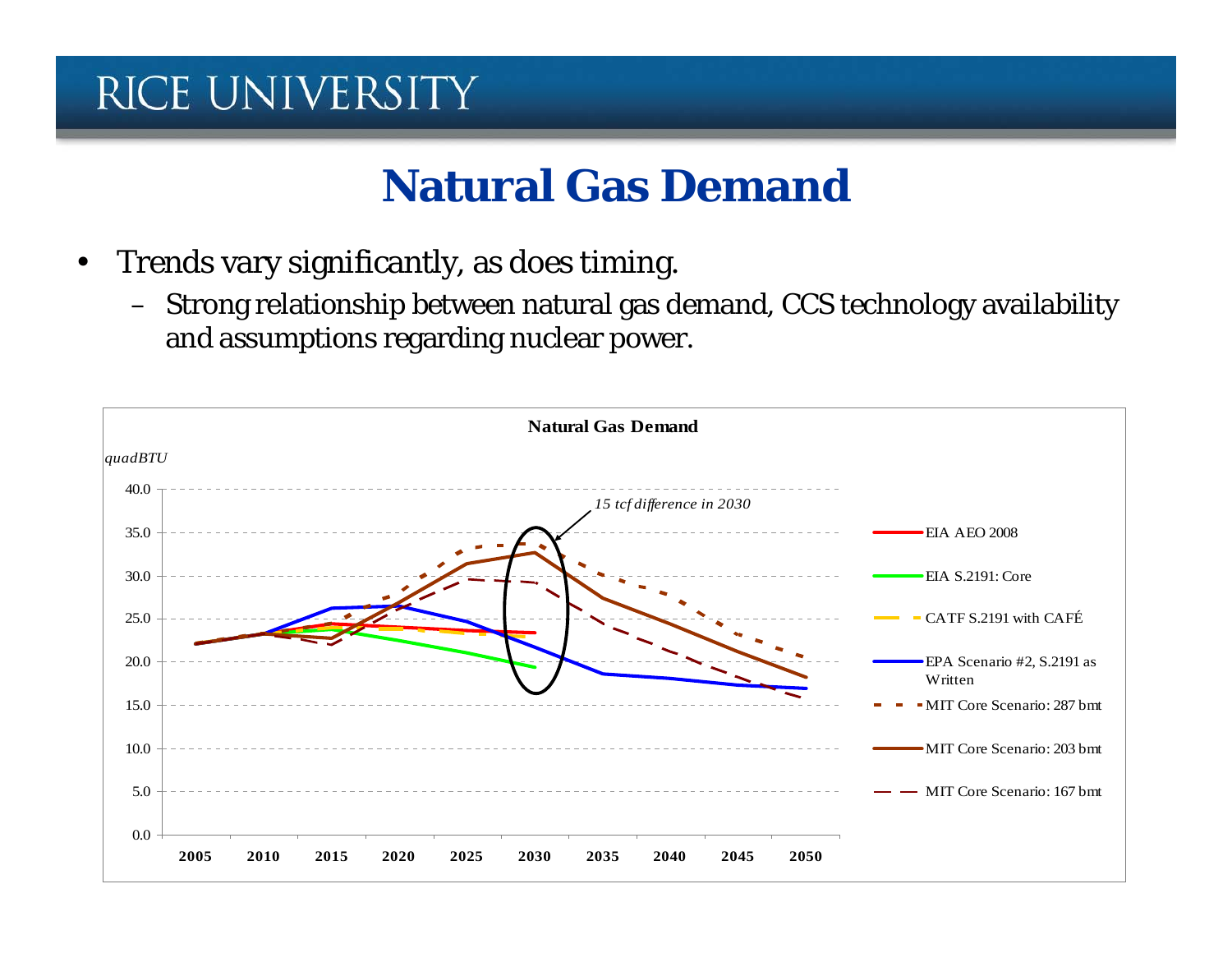#### **Natural Gas Demand**

- Trends vary significantly, as does timing.
	- Strong relationship between natural gas demand, CCS technology availability and assumptions regarding nuclear power.

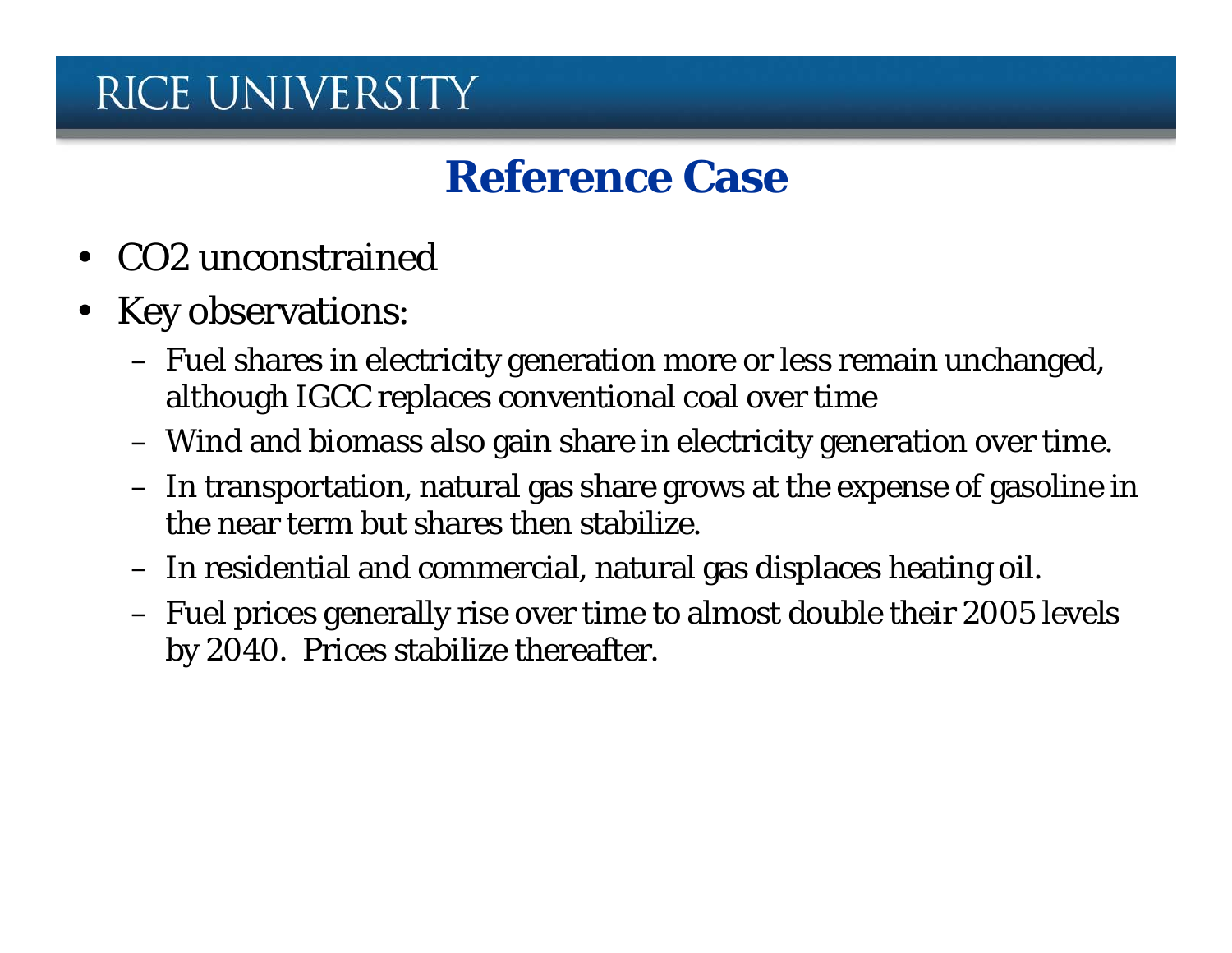#### **Reference Case**

- CO2 unconstrained
- Key observations:
	- Fuel shares in electricity generation more or less remain unchanged, although IGCC replaces conventional coal over time
	- Wind and biomass also gain share in electricity generation over time.
	- In transportation, natural gas share grows at the expense of gasoline in the near term but shares then stabilize.
	- In residential and commercial, natural gas displaces heating oil.
	- Fuel prices generally rise over time to almost double their 2005 levels by 2040. Prices stabilize thereafter.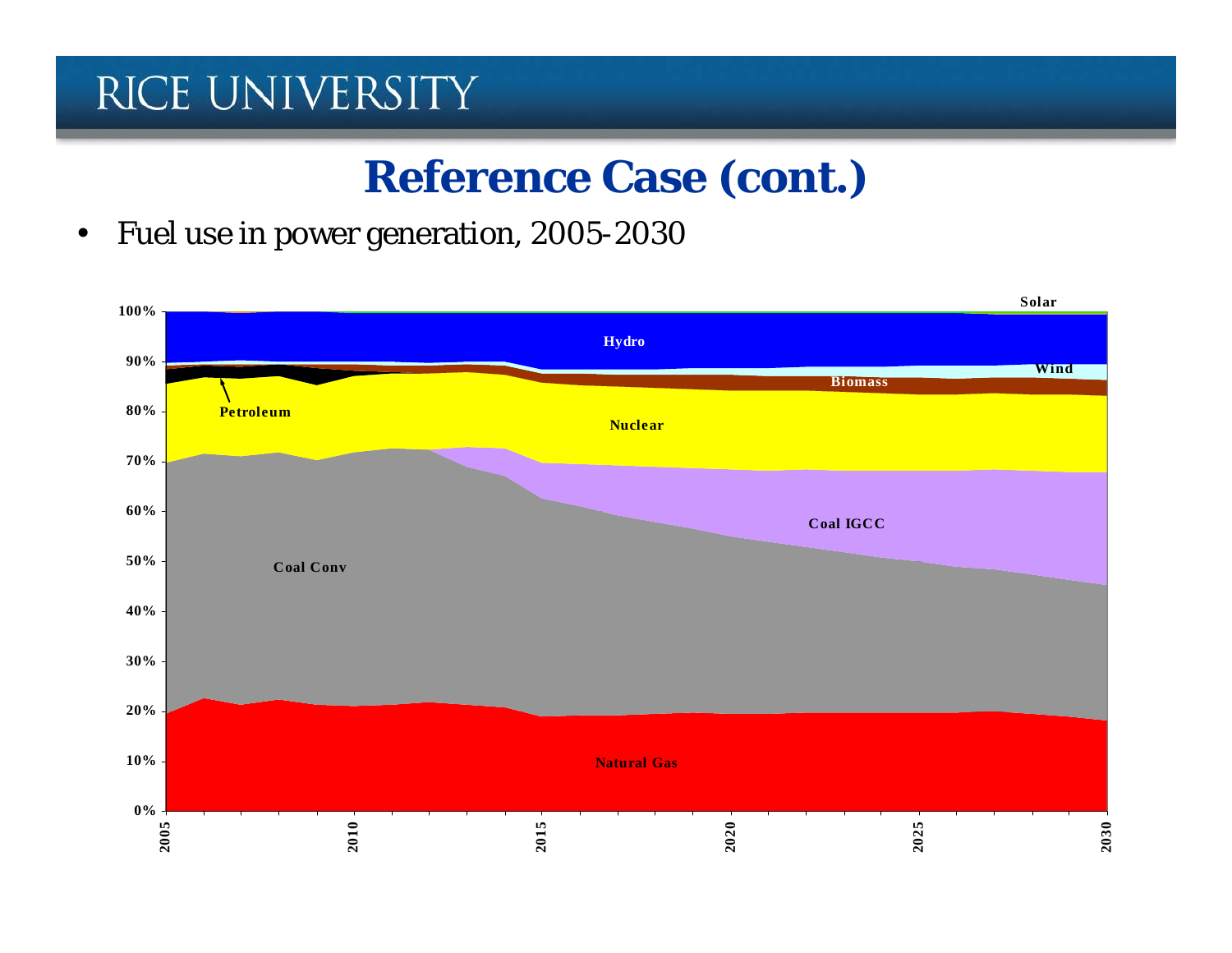## **Reference Case (cont.)**

• Fuel use in power generation, 2005-2030

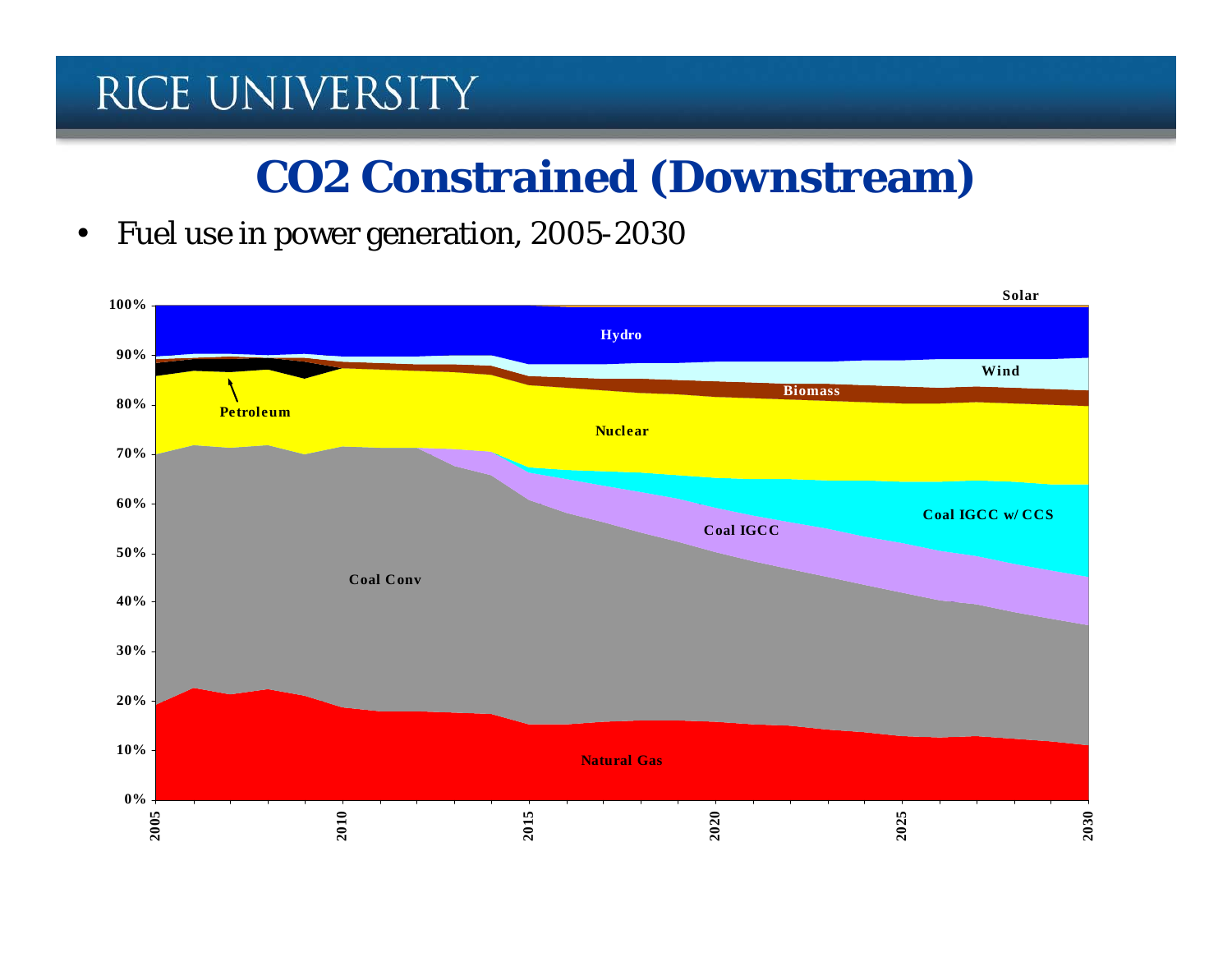#### **CO2 Constrained (Downstream)**

• Fuel use in power generation, 2005-2030

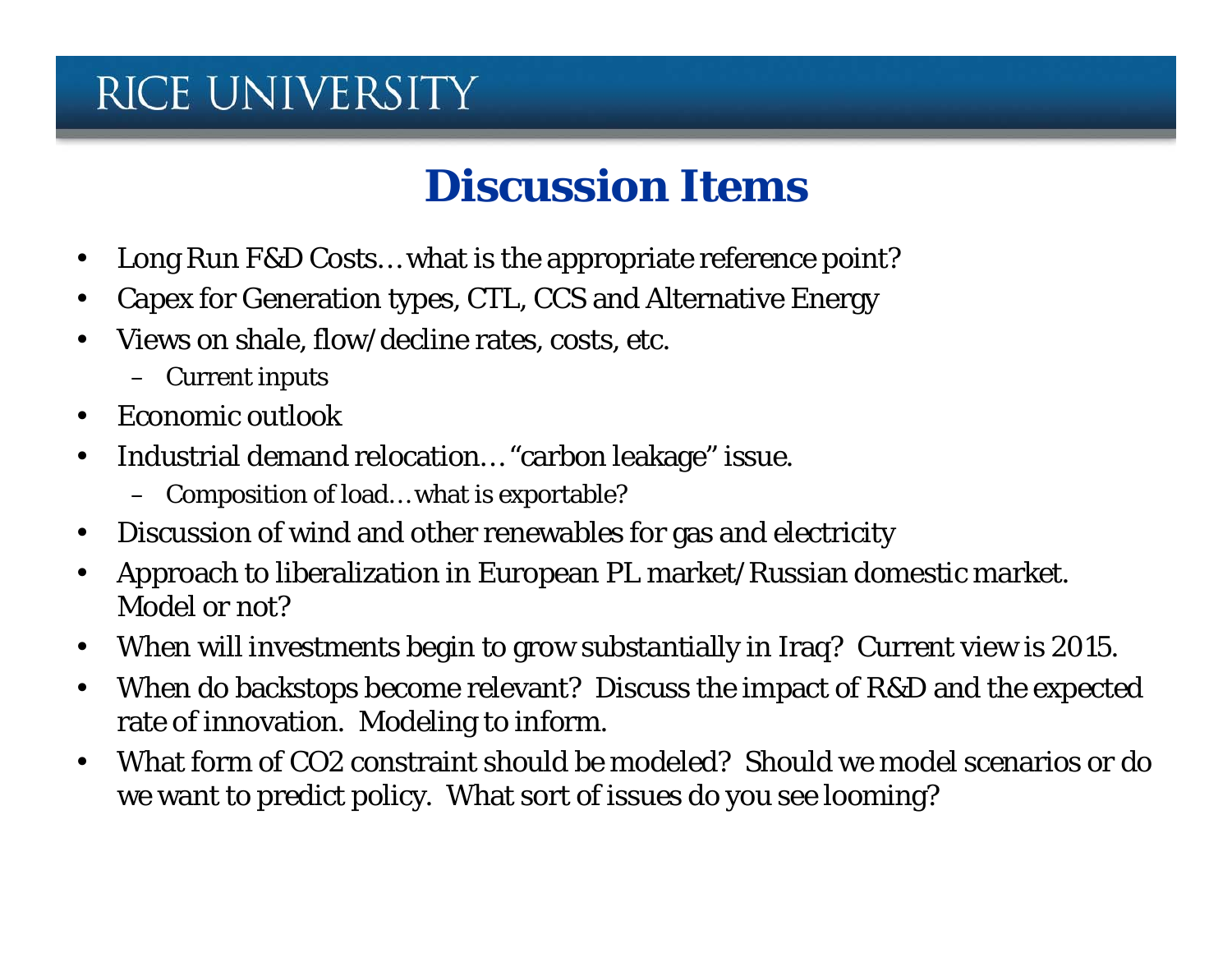#### **Discussion Items**

- Long Run F&D Costs... what is the appropriate reference point?
- Capex for Generation types, CTL, CCS and Alternative Energy
- Views on shale, flow/decline rates, costs, etc.
	- Current inputs
- Economic outlook
- Industrial demand relocation… "carbon leakage" issue.
	- Composition of load… what is exportable?
- Discussion of wind and other renewables for gas and electricity
- Approach to liberalization in European PL market/Russian domestic market. Model or not?
- When will investments begin to grow substantially in Iraq? Current view is 2015.
- When do backstops become relevant? Discuss the impact of R&D and the expected rate of innovation. Modeling to inform.
- What form of CO2 constraint should be modeled? Should we model scenarios or do we want to predict policy. What sort of issues do you see looming?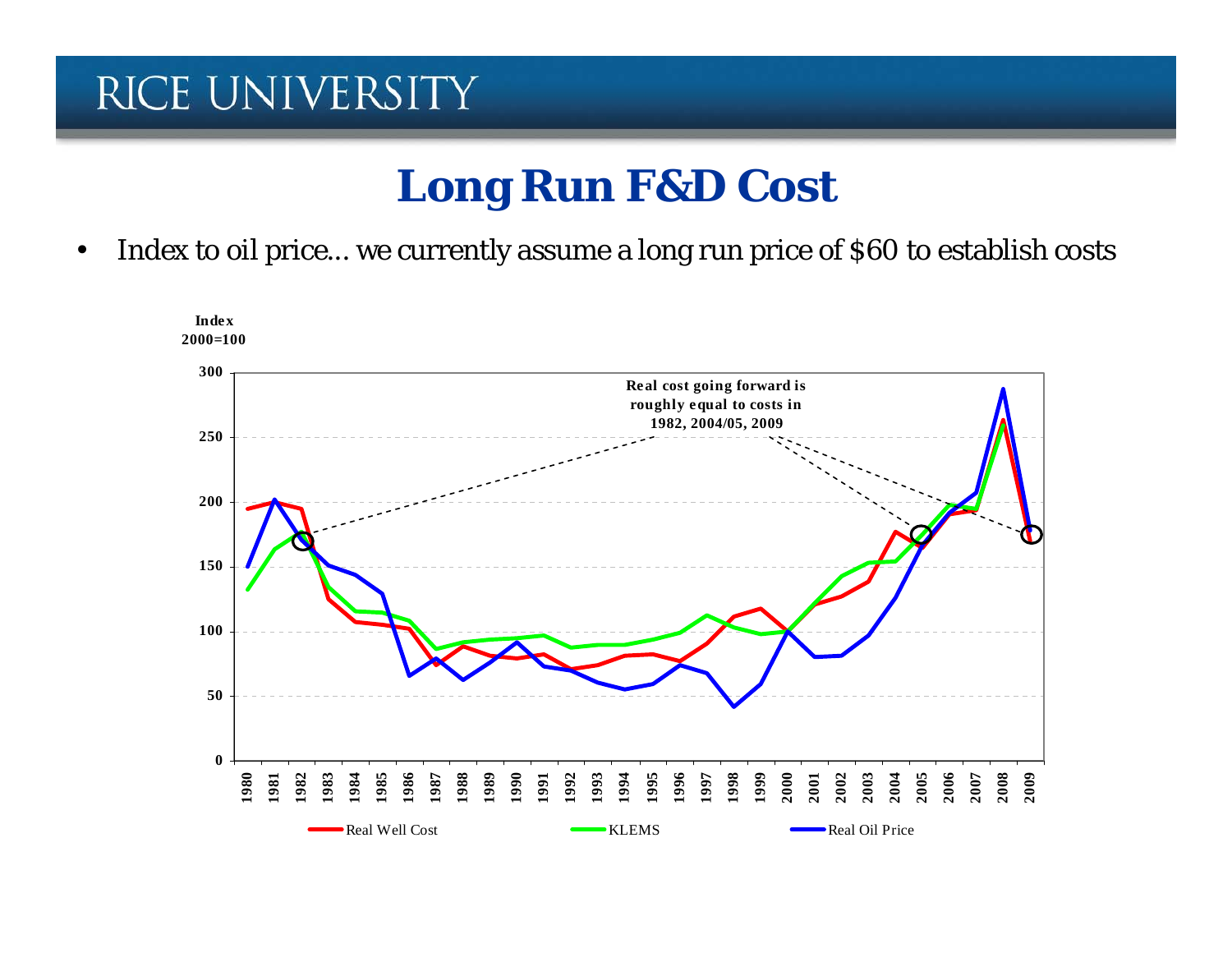#### **Long Run F&D Cost**

• Index to oil price... we currently assume a long run price of \$60 to establish costs

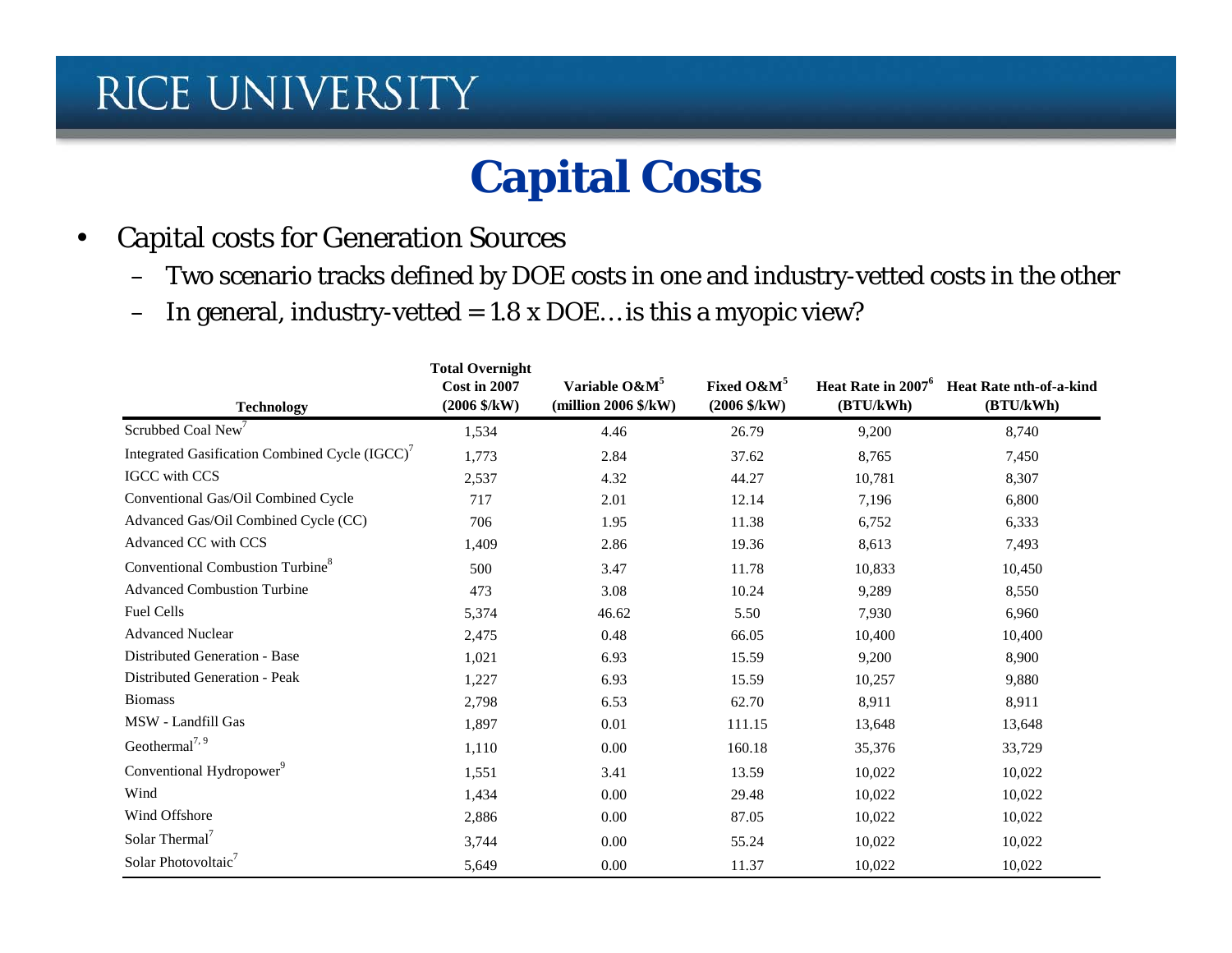#### **Capital Costs**

- Capital costs for Generation Sources
	- Two scenario tracks defined by DOE costs in one and industry-vetted costs in the other
	- In general, industry-vetted =  $1.8 \times$  DOE... is this a myopic view?

| <b>Technology</b>                             | <b>Total Overnight</b><br><b>Cost in 2007</b><br>$(2006 \frac{6}{\text{KW}})$ | Variable O&M <sup>5</sup><br>(million $2006$ $\frac{6}{\text{K}}$ W) | Fixed O&M <sup>5</sup><br>$(2006 \text{ $8/\text{kW}$})$ | Heat Rate in 2007 <sup>6</sup><br>(BTU/kWh) | <b>Heat Rate nth-of-a-kind</b><br>(BTU/kWh) |
|-----------------------------------------------|-------------------------------------------------------------------------------|----------------------------------------------------------------------|----------------------------------------------------------|---------------------------------------------|---------------------------------------------|
| Scrubbed Coal New                             | 1,534                                                                         | 4.46                                                                 | 26.79                                                    | 9,200                                       | 8,740                                       |
| Integrated Gasification Combined Cycle (IGCC) | 1,773                                                                         | 2.84                                                                 | 37.62                                                    | 8,765                                       | 7,450                                       |
| <b>IGCC</b> with CCS                          | 2,537                                                                         | 4.32                                                                 | 44.27                                                    | 10,781                                      | 8,307                                       |
| Conventional Gas/Oil Combined Cycle           | 717                                                                           | 2.01                                                                 | 12.14                                                    | 7,196                                       | 6,800                                       |
| Advanced Gas/Oil Combined Cycle (CC)          | 706                                                                           | 1.95                                                                 | 11.38                                                    | 6,752                                       | 6,333                                       |
| Advanced CC with CCS                          | 1,409                                                                         | 2.86                                                                 | 19.36                                                    | 8,613                                       | 7,493                                       |
| Conventional Combustion Turbine <sup>8</sup>  | 500                                                                           | 3.47                                                                 | 11.78                                                    | 10,833                                      | 10,450                                      |
| <b>Advanced Combustion Turbine</b>            | 473                                                                           | 3.08                                                                 | 10.24                                                    | 9,289                                       | 8,550                                       |
| <b>Fuel Cells</b>                             | 5,374                                                                         | 46.62                                                                | 5.50                                                     | 7,930                                       | 6,960                                       |
| <b>Advanced Nuclear</b>                       | 2,475                                                                         | 0.48                                                                 | 66.05                                                    | 10,400                                      | 10,400                                      |
| Distributed Generation - Base                 | 1,021                                                                         | 6.93                                                                 | 15.59                                                    | 9,200                                       | 8,900                                       |
| <b>Distributed Generation - Peak</b>          | 1,227                                                                         | 6.93                                                                 | 15.59                                                    | 10,257                                      | 9,880                                       |
| <b>Biomass</b>                                | 2,798                                                                         | 6.53                                                                 | 62.70                                                    | 8,911                                       | 8,911                                       |
| MSW - Landfill Gas                            | 1,897                                                                         | 0.01                                                                 | 111.15                                                   | 13,648                                      | 13,648                                      |
| Geothermal <sup>7, 9</sup>                    | 1,110                                                                         | 0.00                                                                 | 160.18                                                   | 35,376                                      | 33,729                                      |
| Conventional Hydropower <sup>9</sup>          | 1,551                                                                         | 3.41                                                                 | 13.59                                                    | 10,022                                      | 10,022                                      |
| Wind                                          | 1,434                                                                         | 0.00                                                                 | 29.48                                                    | 10,022                                      | 10,022                                      |
| Wind Offshore                                 | 2,886                                                                         | 0.00                                                                 | 87.05                                                    | 10,022                                      | 10,022                                      |
| Solar Thermal <sup>7</sup>                    | 3,744                                                                         | 0.00                                                                 | 55.24                                                    | 10,022                                      | 10,022                                      |
| Solar Photovoltaic <sup>7</sup>               | 5,649                                                                         | 0.00                                                                 | 11.37                                                    | 10,022                                      | 10,022                                      |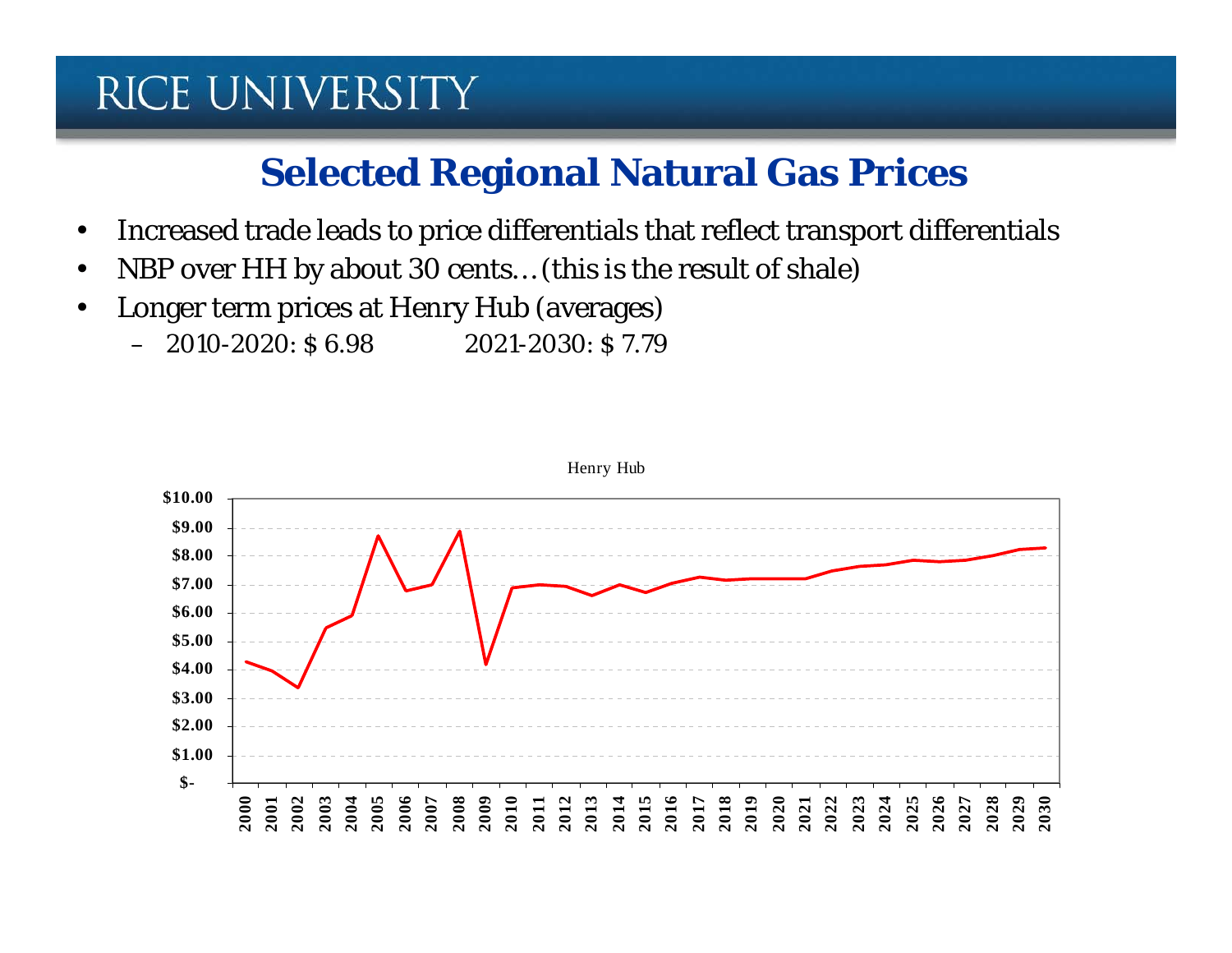#### **Selected Regional Natural Gas Prices**

- Increased trade leads to price differentials that reflect transport differentials
- NBP over HH by about 30 cents... (this is the result of shale)
- Longer term prices at Henry Hub (averages)
	- $-2010-2020$ : \$ 6.98  $2021-2030$ : \$ 7.79

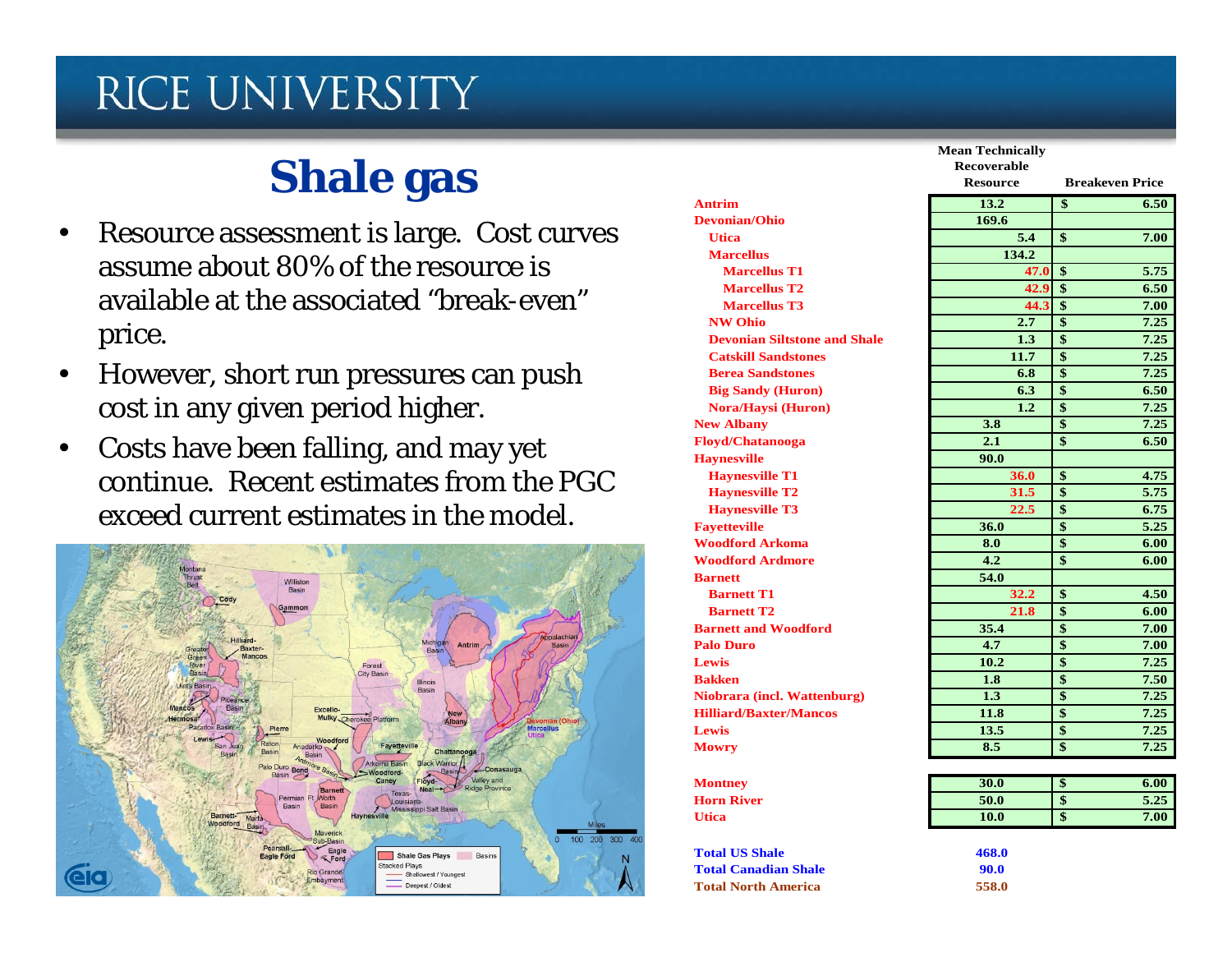# **Shale gas**

- Resource assessment is large. Cost curves assume about 80% of the resource is available at the associated "break-even" price.
- However, short run pressures can push cost in any given period higher.
- Costs have been falling, and may yet continue. Recent estimates from the PGC exceed current estimates in the model.



|                                     | Mean Technical     |
|-------------------------------------|--------------------|
|                                     | <b>Recoverable</b> |
|                                     | <b>Resource</b>    |
| <b>Antrim</b>                       | 13.2               |
| <b>Devonian/Ohio</b>                | 169.6              |
| <b>Utica</b>                        | 5.4                |
| <b>Marcellus</b>                    | 134.2              |
| <b>Marcellus T1</b>                 | $\overline{4}$     |
| <b>Marcellus T2</b>                 | $\overline{4}$     |
| <b>Marcellus T3</b>                 | 44                 |
| <b>NW Ohio</b>                      | 2.7                |
| <b>Devonian Siltstone and Shale</b> | 1.3                |
| <b>Catskill Sandstones</b>          | 11.7               |
| <b>Berea Sandstones</b>             | 6.8                |
| <b>Big Sandy (Huron)</b>            | 6.3                |
| <b>Nora/Haysi (Huron)</b>           | 1.2                |
| <b>New Albany</b>                   | 3.8                |
| Floyd/Chatanooga                    | 2.1                |
| <b>Haynesville</b>                  | 90.0               |
| <b>Haynesville T1</b>               | 36.0               |
| <b>Haynesville T2</b>               | 31.5               |
| <b>Haynesville T3</b>               | 22.5               |
| <b>Fayetteville</b>                 | 36.0               |
| <b>Woodford Arkoma</b>              | 8.0                |
| <b>Woodford Ardmore</b>             | 4.2                |
| <b>Barnett</b>                      | 54.0               |
| <b>Barnett T1</b>                   | 32.2               |
| <b>Barnett T2</b>                   | 21.8               |
| <b>Barnett and Woodford</b>         | 35.4               |
| <b>Palo Duro</b>                    | 4.7                |
| Lewis                               | 10.2               |
| <b>Bakken</b>                       | 1.8                |
| Niobrara (incl. Wattenburg)         | 1.3                |
| <b>Hilliard/Baxter/Mancos</b>       | 11.8               |
| <b>Lewis</b>                        | 13.5               |
| <b>Mowry</b>                        | 8.5                |
|                                     |                    |
| <b>Montney</b>                      | 30.0               |
| <b>Horn River</b>                   | 50.0               |

**Utica**

**Total US Shale**

**Total Canadian Shale**

**Total North America**

|                                     | <b>Mean Technically</b><br><b>Recoverable</b> |                                 |  |
|-------------------------------------|-----------------------------------------------|---------------------------------|--|
|                                     |                                               |                                 |  |
|                                     | <b>Resource</b>                               | <b>Breakeven Price</b>          |  |
| <b>Antrim</b>                       | 13.2                                          | $\overline{\mathbf{s}}$<br>6.50 |  |
| <b>Devonian/Ohio</b>                | 169.6                                         |                                 |  |
| <b>Utica</b>                        | 5.4                                           | $\mathbf{\$}$<br>7.00           |  |
| <b>Marcellus</b>                    | 134.2                                         |                                 |  |
| <b>Marcellus T1</b>                 | 47.0                                          | -\$<br>5.75                     |  |
| <b>Marcellus T2</b>                 | 42.9                                          | $\overline{\mathbf{s}}$<br>6.50 |  |
| <b>Marcellus T3</b>                 | 44.3                                          | $\mathbf{\$}$<br>7.00           |  |
| <b>NW Ohio</b>                      | 2.7                                           | $\overline{\mathbf{S}}$<br>7.25 |  |
| <b>Devonian Siltstone and Shale</b> | 1.3                                           | $\overline{\mathbf{s}}$<br>7.25 |  |
| <b>Catskill Sandstones</b>          | 11.7                                          | $\mathbf{\$}$<br>7.25           |  |
| <b>Berea Sandstones</b>             | 6.8                                           | $\mathbf{s}$<br>7.25            |  |
| <b>Big Sandy (Huron)</b>            | 6.3                                           | $\mathbf{\$}$<br>6.50           |  |
| Nora/Haysi (Huron)                  | 1.2                                           | \$<br>7.25                      |  |
| <b>New Albany</b>                   | 3.8                                           | $\mathbf{\hat{S}}$<br>7.25      |  |
| <b>Floyd/Chatanooga</b>             | 2.1                                           | \$<br>6.50                      |  |
| <b>Haynesville</b>                  | 90.0                                          |                                 |  |
| <b>Haynesville T1</b>               | 36.0                                          | $\mathbf{\$}$<br>4.75           |  |
| <b>Haynesville T2</b>               | 31.5                                          | \$<br>5.75                      |  |
| <b>Haynesville T3</b>               | 22.5                                          | \$<br>6.75                      |  |
| <b>Fayetteville</b>                 | 36.0                                          | $\overline{\mathbf{S}}$<br>5.25 |  |
| <b>Woodford Arkoma</b>              | 8.0                                           | $\overline{\mathbf{S}}$<br>6.00 |  |
| <b>Woodford Ardmore</b>             | 4.2                                           | $\mathbf{\$}$<br>6.00           |  |
| <b>Barnett</b>                      | 54.0                                          |                                 |  |
| <b>Barnett T1</b>                   | 32.2                                          | $\mathbf{\$}$<br>4.50           |  |
| <b>Barnett T2</b>                   | 21.8                                          | $\mathbf{\hat{S}}$<br>6.00      |  |
| <b>Barnett and Woodford</b>         | 35.4                                          | $\mathbf{\hat{S}}$<br>7.00      |  |
| <b>Palo Duro</b>                    | 4.7                                           | $\overline{\$}$<br>7.00         |  |
| Lewis                               | 10.2                                          | $\mathbf{\hat{S}}$<br>7.25      |  |
| <b>Bakken</b>                       | 1.8                                           | \$<br>7.50                      |  |
| Niobrara (incl. Wattenburg)         | 1.3                                           | $\mathbf{\$}$<br>7.25           |  |
| <b>Hilliard/Baxter/Mancos</b>       | 11.8                                          | $\mathbf{\$}$<br>7.25           |  |
| Lewis                               | 13.5                                          | \$<br>7.25                      |  |
| <b>Mowry</b>                        | 8.5                                           | $\overline{\$}$<br>7.25         |  |
|                                     |                                               |                                 |  |
| <b>Montney</b>                      | 30.0                                          | \$<br>6.00                      |  |
| <b>Horn River</b>                   | 50.0                                          | $\mathbf{\$}$<br>5.25           |  |
|                                     |                                               |                                 |  |

| ıtnev   | 30.0 | w  | 6.00 |
|---------|------|----|------|
| n River | 50.0 | ۰D | 5.25 |
| a       | 10.0 | D  | 7.00 |
|         |      |    |      |

| ē         | 468.0 |
|-----------|-------|
| ın Shale- | 90.0  |
| merica    | 558.0 |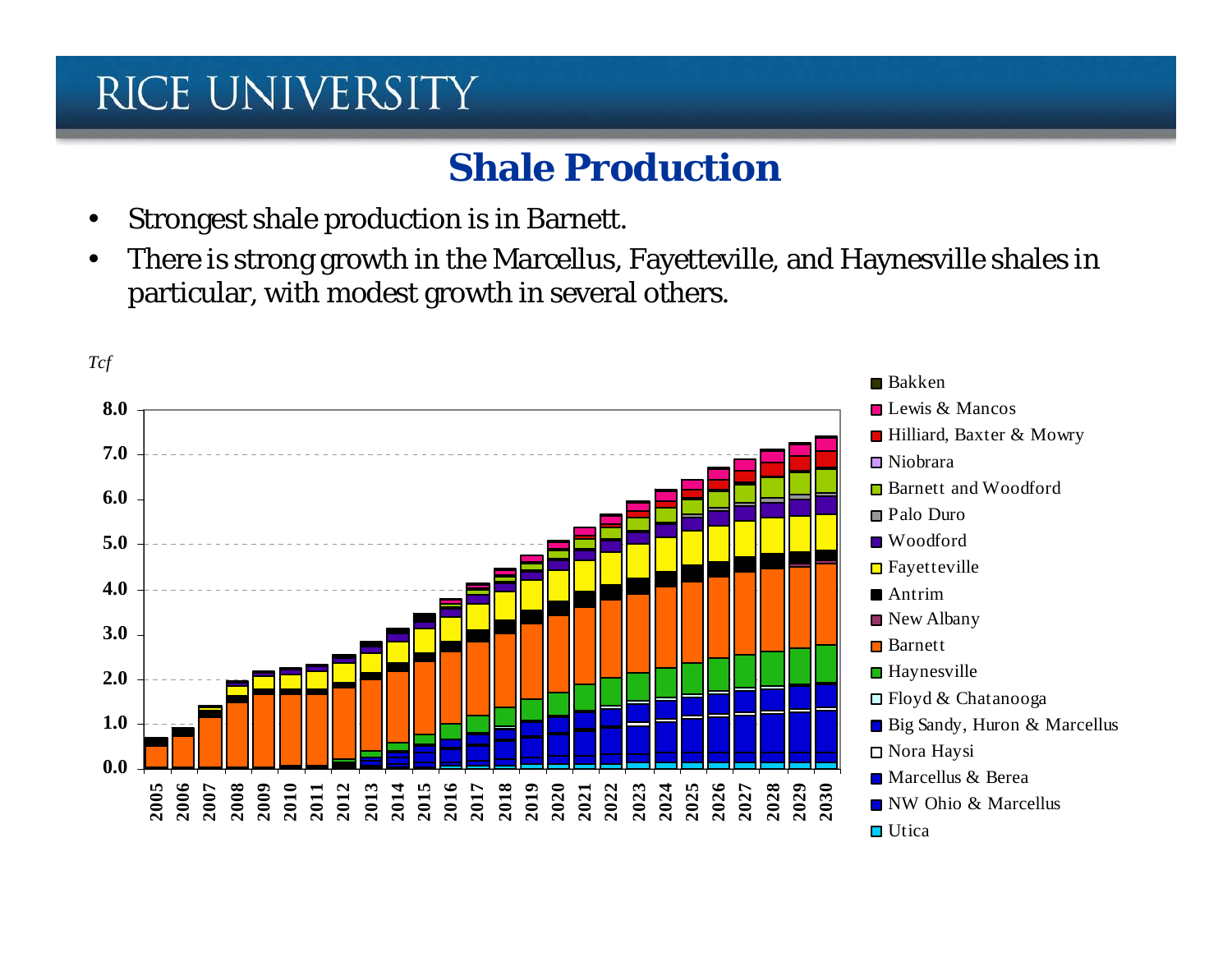#### **Shale Production**

- Strongest shale production is in Barnett.
- There is strong growth in the Marcellus, Fayetteville, and Haynesville shales in particular, with modest growth in several others.

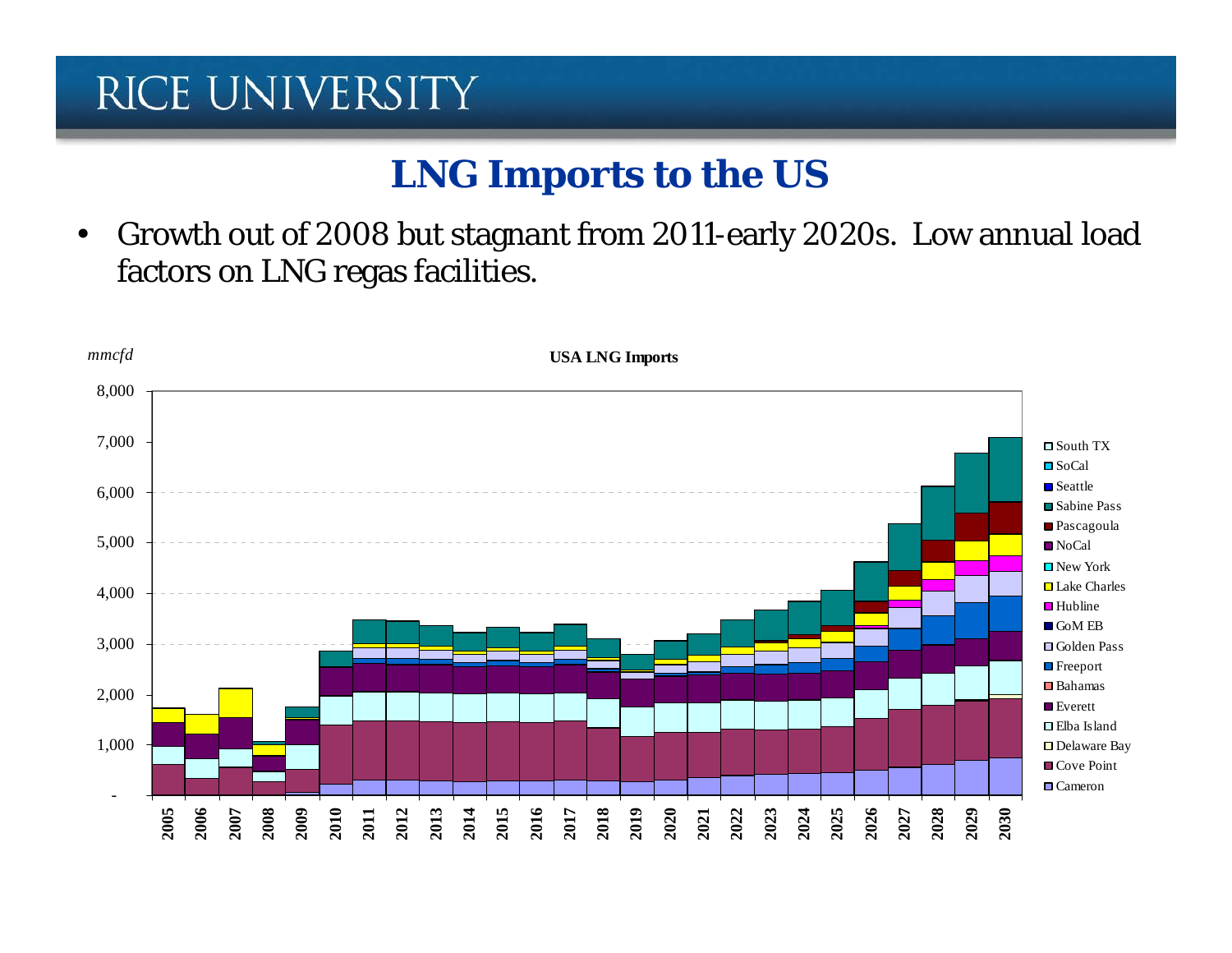#### **LNG Imports to the US**

• Growth out of 2008 but stagnant from 2011-early 2020s. Low annual load factors on LNG regas facilities.

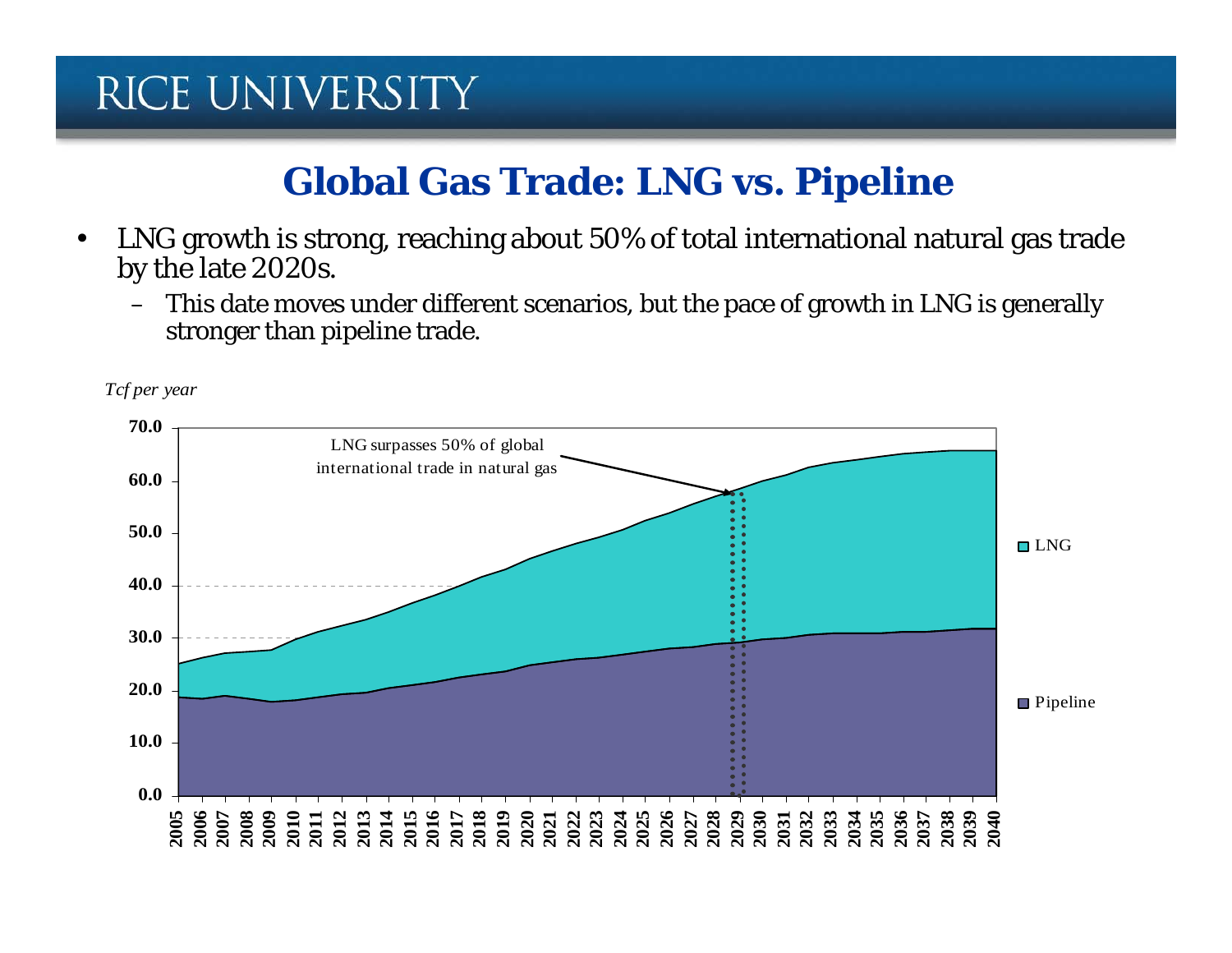#### **Global Gas Trade: LNG vs. Pipeline**

- LNG growth is strong, reaching about 50% of total international natural gas trade by the late 2020s.
	- This date moves under different scenarios, but the pace of growth in LNG is generally stronger than pipeline trade.

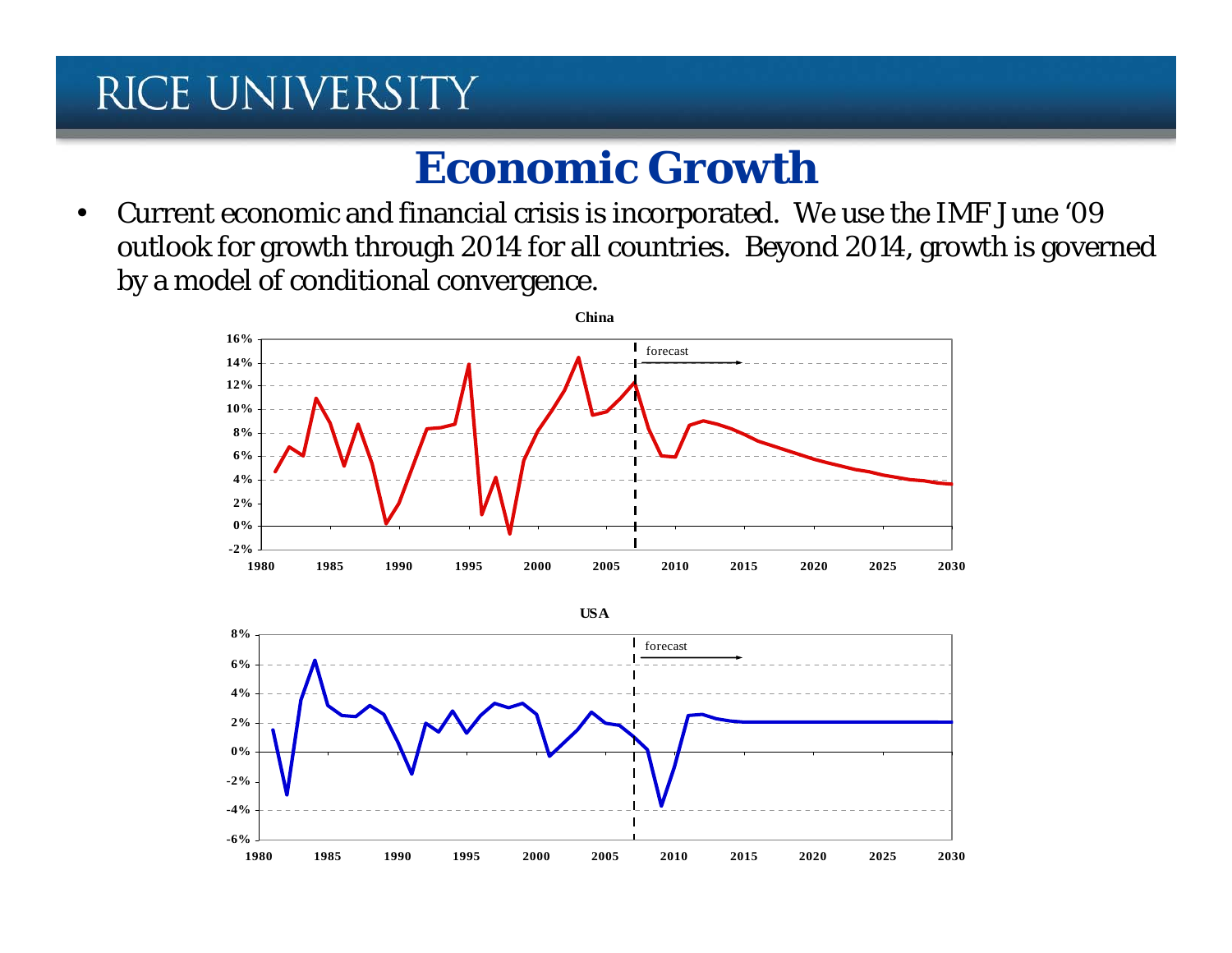#### **Economic Growth**

• Current economic and financial crisis is incorporated. We use the IMF June '09 outlook for growth through 2014 for all countries. Beyond 2014, growth is governed by a model of conditional convergence.



**USA**

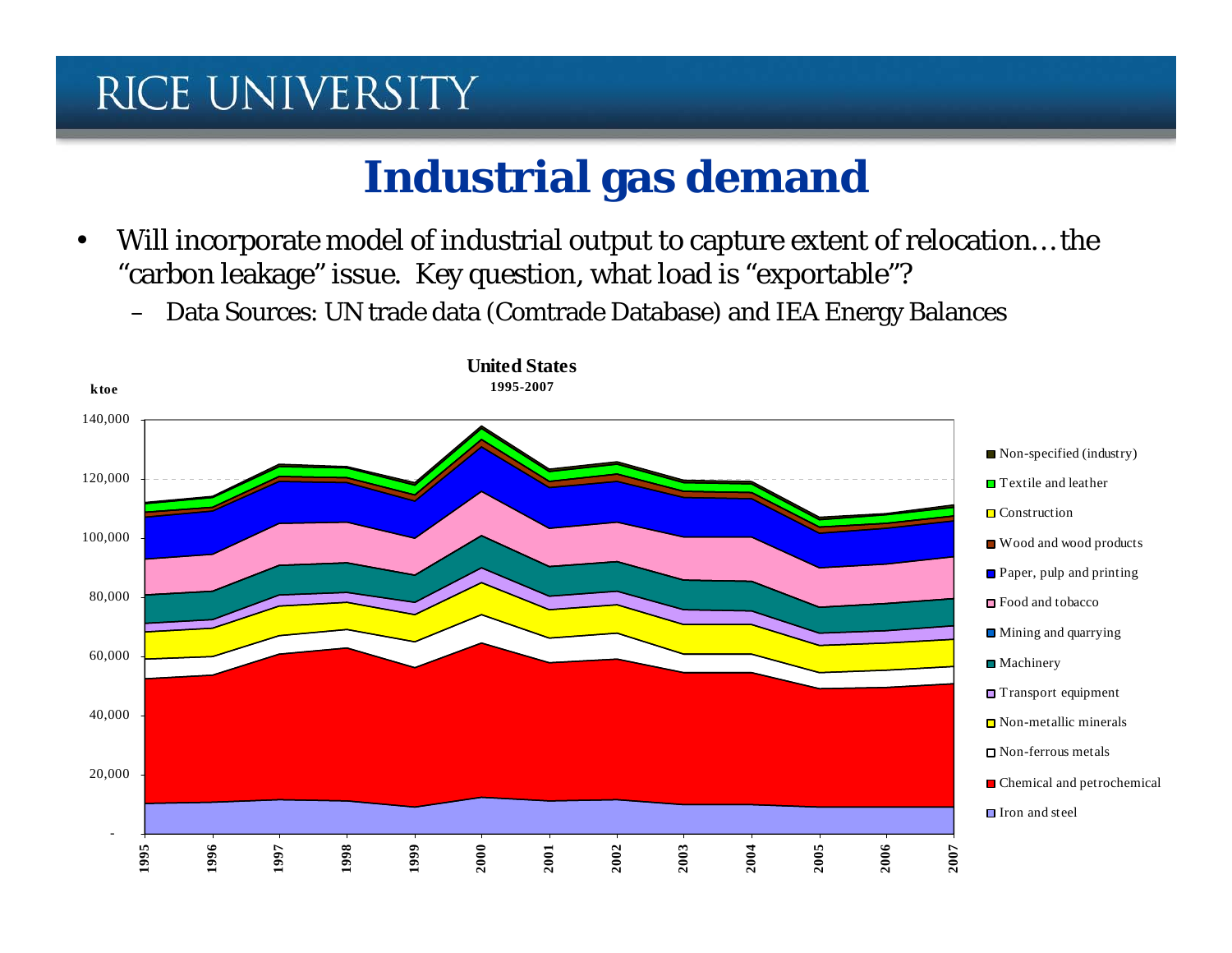# **Industrial gas demand**

- Will incorporate model of industrial output to capture extent of relocation… the "carbon leakage" issue. Key question, what load is "exportable"?
	- Data Sources: UN trade data (Comtrade Database) and IEA Energy Balances

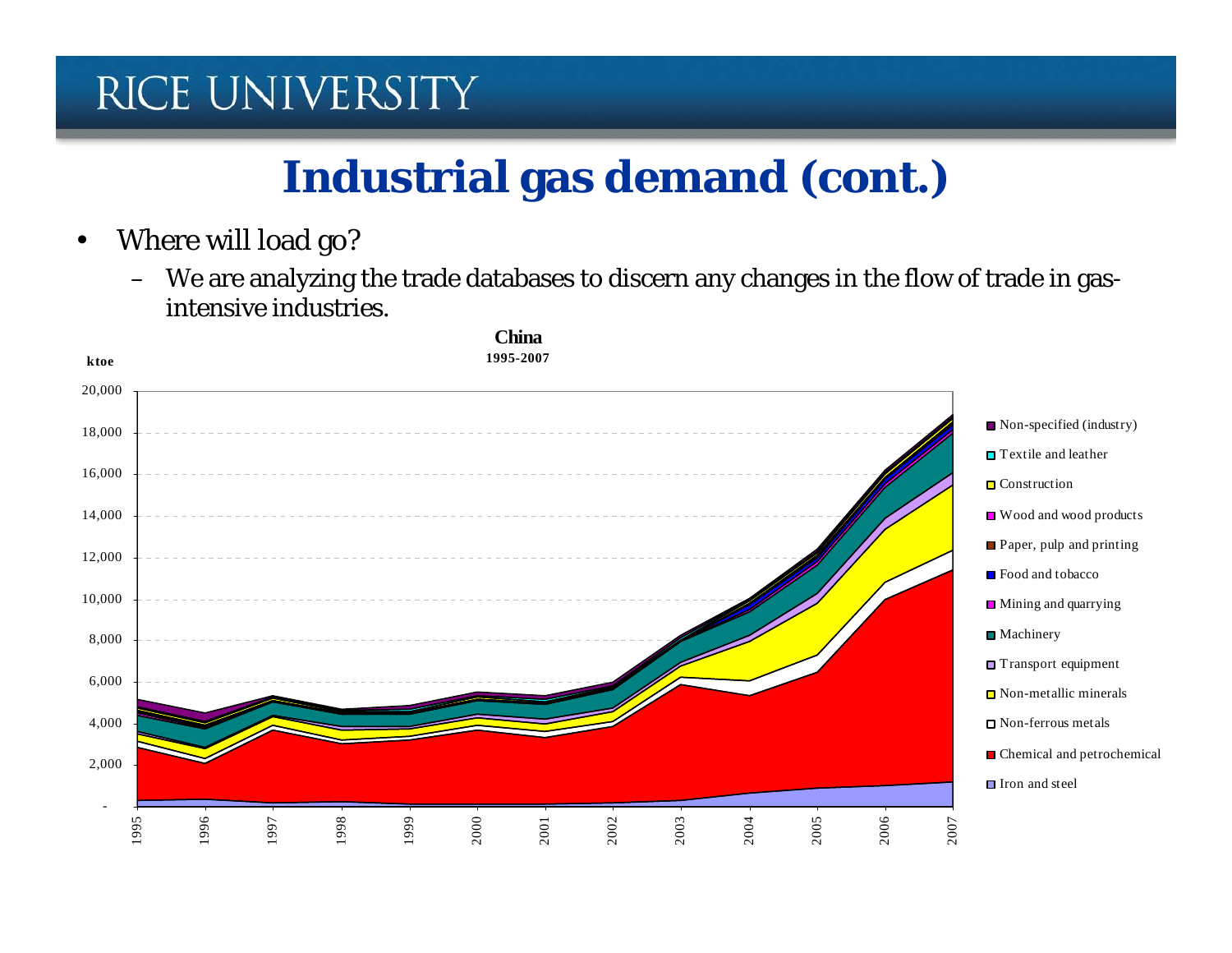# **Industrial gas demand (cont.)**

- Where will load go?
	- We are analyzing the trade databases to discern any changes in the flow of trade in gasintensive industries.